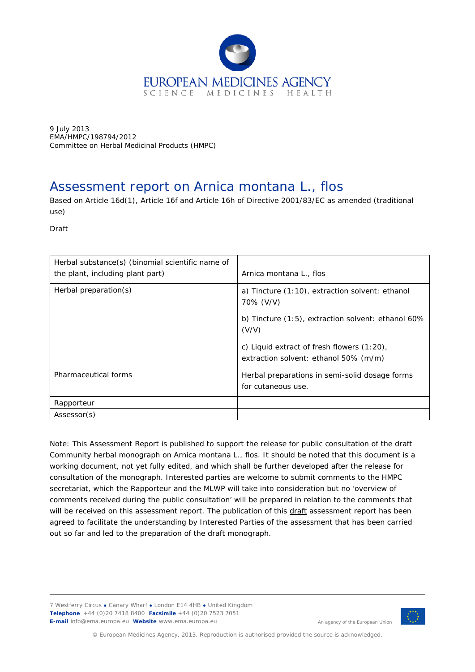

9 July 2013 EMA/HMPC/198794/2012 Committee on Herbal Medicinal Products (HMPC)

# Assessment report on *Arnica montana* L., flos

Based on Article 16d(1), Article 16f and Article 16h of Directive 2001/83/EC as amended (traditional use)

Draft

| Herbal substance(s) (binomial scientific name of<br>the plant, including plant part) | Arnica montana L., flos                                                             |
|--------------------------------------------------------------------------------------|-------------------------------------------------------------------------------------|
| Herbal preparation(s)                                                                | a) Tincture $(1:10)$ , extraction solvent: ethanol<br>70% (V/V)                     |
|                                                                                      | b) Tincture $(1:5)$ , extraction solvent: ethanol 60%<br>(V/V)                      |
|                                                                                      | c) Liquid extract of fresh flowers (1:20),<br>extraction solvent: ethanol 50% (m/m) |
| Pharmaceutical forms                                                                 | Herbal preparations in semi-solid dosage forms<br>for cutaneous use.                |
| Rapporteur                                                                           |                                                                                     |
| Assessor(s)                                                                          |                                                                                     |

Note: This Assessment Report is published to support the release for public consultation of the draft Community herbal monograph on *Arnica montana* L., flos. It should be noted that this document is a working document, not yet fully edited, and which shall be further developed after the release for consultation of the monograph. Interested parties are welcome to submit comments to the HMPC secretariat, which the Rapporteur and the MLWP will take into consideration but no 'overview of comments received during the public consultation' will be prepared in relation to the comments that will be received on this assessment report. The publication of this draft assessment report has been agreed to facilitate the understanding by Interested Parties of the assessment that has been carried out so far and led to the preparation of the draft monograph.

7 Westferry Circus **●** Canary Wharf **●** London E14 4HB **●** United Kingdom **Telephone** +44 (0)20 7418 8400 **Facsimile** +44 (0)20 7523 7051 **E-mail** info@ema.europa.eu **Website** www.ema.europa.eu



An agency of the European Union

© European Medicines Agency, 2013. Reproduction is authorised provided the source is acknowledged.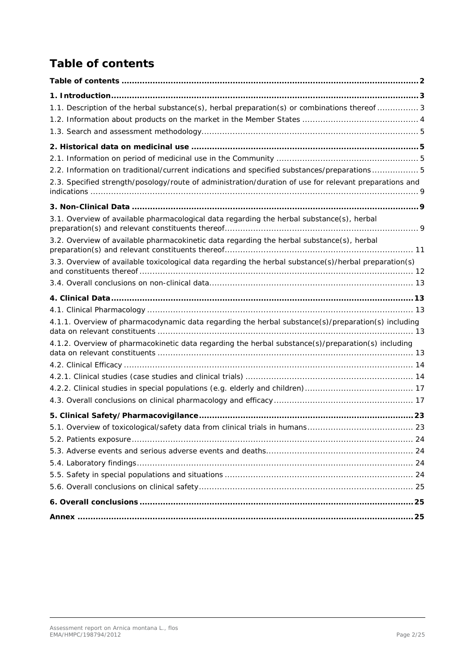# <span id="page-1-0"></span>*Table of contents*

| 1.1. Description of the herbal substance(s), herbal preparation(s) or combinations thereof  3          |
|--------------------------------------------------------------------------------------------------------|
|                                                                                                        |
|                                                                                                        |
|                                                                                                        |
|                                                                                                        |
| 2.2. Information on traditional/current indications and specified substances/preparations 5            |
| 2.3. Specified strength/posology/route of administration/duration of use for relevant preparations and |
|                                                                                                        |
| 3.1. Overview of available pharmacological data regarding the herbal substance(s), herbal              |
| 3.2. Overview of available pharmacokinetic data regarding the herbal substance(s), herbal              |
| 3.3. Overview of available toxicological data regarding the herbal substance(s)/herbal preparation(s)  |
|                                                                                                        |
|                                                                                                        |
|                                                                                                        |
| 4.1.1. Overview of pharmacodynamic data regarding the herbal substance(s)/preparation(s) including     |
| 4.1.2. Overview of pharmacokinetic data regarding the herbal substance(s)/preparation(s) including     |
|                                                                                                        |
|                                                                                                        |
|                                                                                                        |
|                                                                                                        |
|                                                                                                        |
|                                                                                                        |
|                                                                                                        |
|                                                                                                        |
|                                                                                                        |
|                                                                                                        |
|                                                                                                        |
|                                                                                                        |
|                                                                                                        |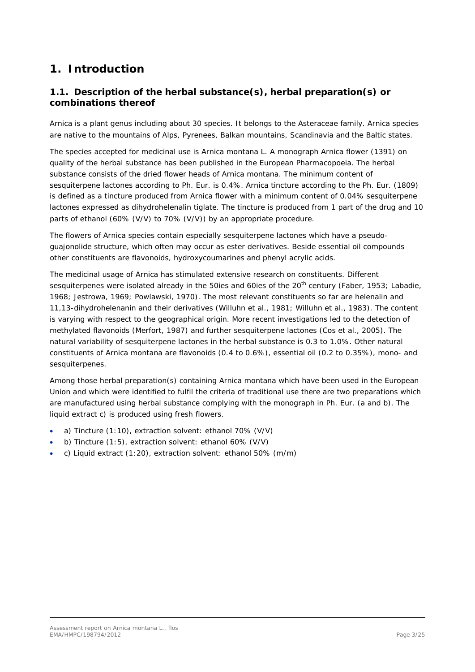# <span id="page-2-0"></span>**1. Introduction**

# <span id="page-2-1"></span>*1.1. Description of the herbal substance(s), herbal preparation(s) or combinations thereof*

Arnica is a plant genus including about 30 species. It belongs to the Asteraceae family. Arnica species are native to the mountains of Alps, Pyrenees, Balkan mountains, Scandinavia and the Baltic states.

The species accepted for medicinal use is *Arnica montana* L. A monograph Arnica flower (1391) on quality of the herbal substance has been published in the European Pharmacopoeia. The herbal substance consists of the dried flower heads of *Arnica montana*. The minimum content of sesquiterpene lactones according to Ph. Eur. is 0.4%. Arnica tincture according to the Ph. Eur. (1809) is defined as a tincture produced from Arnica flower with a minimum content of 0.04% sesquiterpene lactones expressed as dihydrohelenalin tiglate. The tincture is produced from 1 part of the drug and 10 parts of ethanol (60% (V/V) to 70% (V/V)) by an appropriate procedure.

The flowers of Arnica species contain especially sesquiterpene lactones which have a pseudoguajonolide structure, which often may occur as ester derivatives. Beside essential oil compounds other constituents are flavonoids, hydroxycoumarines and phenyl acrylic acids.

The medicinal usage of Arnica has stimulated extensive research on constituents. Different sesquiterpenes were isolated already in the 50ies and 60ies of the 20<sup>th</sup> century (Faber, 1953; Labadie, 1968; Jestrowa, 1969; Powlawski, 1970). The most relevant constituents so far are helenalin and 11,13-dihydrohelenanin and their derivatives (Willuhn *et al*., 1981; Willuhn *et al*., 1983). The content is varying with respect to the geographical origin. More recent investigations led to the detection of methylated flavonoids (Merfort, 1987) and further sesquiterpene lactones (Cos *et al*., 2005). The natural variability of sesquiterpene lactones in the herbal substance is 0.3 to 1.0%. Other natural constituents of *Arnica montana* are flavonoids (0.4 to 0.6%), essential oil (0.2 to 0.35%), mono- and sesquiterpenes.

Among those herbal preparation(s) containing *Arnica montana* which have been used in the European Union and which were identified to fulfil the criteria of traditional use there are two preparations which are manufactured using herbal substance complying with the monograph in Ph. Eur. (a and b). The liquid extract c) is produced using fresh flowers.

- a) Tincture (1:10), extraction solvent: ethanol 70% (V/V)
- b) Tincture (1:5), extraction solvent: ethanol 60% (V/V)
- c) Liquid extract (1:20), extraction solvent: ethanol 50% (m/m)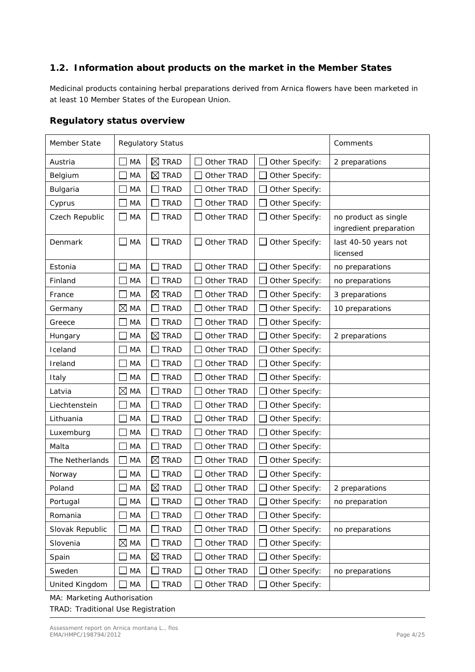# <span id="page-3-0"></span>*1.2. Information about products on the market in the Member States*

Medicinal products containing herbal preparations derived from Arnica flowers have been marketed in at least 10 Member States of the European Union.

## **Regulatory status overview**

| Member State    |                      | <b>Regulatory Status</b>       | Comments   |                |                                                |
|-----------------|----------------------|--------------------------------|------------|----------------|------------------------------------------------|
| Austria         | MA                   | $\boxtimes$ TRAD               | Other TRAD | Other Specify: | 2 preparations                                 |
| Belgium         | MA                   | ⊠<br><b>TRAD</b>               | Other TRAD | Other Specify: |                                                |
| Bulgaria        | MA                   | <b>TRAD</b>                    | Other TRAD | Other Specify: |                                                |
| Cyprus          | MA                   | <b>TRAD</b>                    | Other TRAD | Other Specify: |                                                |
| Czech Republic  | MA<br>$\blacksquare$ | <b>TRAD</b>                    | Other TRAD | Other Specify: | no product as single<br>ingredient preparation |
| Denmark         | $\Box$ MA            | <b>TRAD</b><br><b>Contract</b> | Other TRAD | Other Specify: | last 40-50 years not<br>licensed               |
| Estonia         | MA                   | <b>TRAD</b>                    | Other TRAD | Other Specify: | no preparations                                |
| Finland         | MA                   | TRAD                           | Other TRAD | Other Specify: | no preparations                                |
| France          | MA                   | $\boxtimes$ TRAD               | Other TRAD | Other Specify: | 3 preparations                                 |
| Germany         | $\boxtimes$ MA       | <b>TRAD</b>                    | Other TRAD | Other Specify: | 10 preparations                                |
| Greece          | MA                   | TRAD                           | Other TRAD | Other Specify: |                                                |
| Hungary         | MA                   | $\boxtimes$<br><b>TRAD</b>     | Other TRAD | Other Specify: | 2 preparations                                 |
| Iceland         | MA                   | TRAD                           | Other TRAD | Other Specify: |                                                |
| Ireland         | MA                   | <b>TRAD</b>                    | Other TRAD | Other Specify: |                                                |
| Italy           | MA                   | <b>TRAD</b>                    | Other TRAD | Other Specify: |                                                |
| Latvia          | ⊠<br>MA              | <b>TRAD</b>                    | Other TRAD | Other Specify: |                                                |
| Liechtenstein   | MA                   | <b>TRAD</b>                    | Other TRAD | Other Specify: |                                                |
| Lithuania       | MA                   | <b>TRAD</b>                    | Other TRAD | Other Specify: |                                                |
| Luxemburg       | MA                   | <b>TRAD</b>                    | Other TRAD | Other Specify: |                                                |
| Malta           | MA                   | TRAD                           | Other TRAD | Other Specify: |                                                |
| The Netherlands | MA                   | ⊠<br><b>TRAD</b>               | Other TRAD | Other Specify: |                                                |
| Norway          | MA                   | <b>TRAD</b>                    | Other TRAD | Other Specify: |                                                |
| Poland          | MA                   | ⊠<br><b>TRAD</b>               | Other TRAD | Other Specify: | 2 preparations                                 |
| Portugal        | MA                   | <b>TRAD</b>                    | Other TRAD | Other Specify: | no preparation                                 |
| Romania         | MA                   | <b>TRAD</b>                    | Other TRAD | Other Specify: |                                                |
| Slovak Republic | MA                   | <b>TRAD</b>                    | Other TRAD | Other Specify: | no preparations                                |
| Slovenia        | $\boxtimes$ MA       | <b>TRAD</b>                    | Other TRAD | Other Specify: |                                                |
| Spain           | MA                   | ⊠<br><b>TRAD</b>               | Other TRAD | Other Specify: |                                                |
| Sweden          | MA                   | <b>TRAD</b>                    | Other TRAD | Other Specify: | no preparations                                |
| United Kingdom  | MA                   | <b>TRAD</b>                    | Other TRAD | Other Specify: |                                                |

MA: Marketing Authorisation TRAD: Traditional Use Registration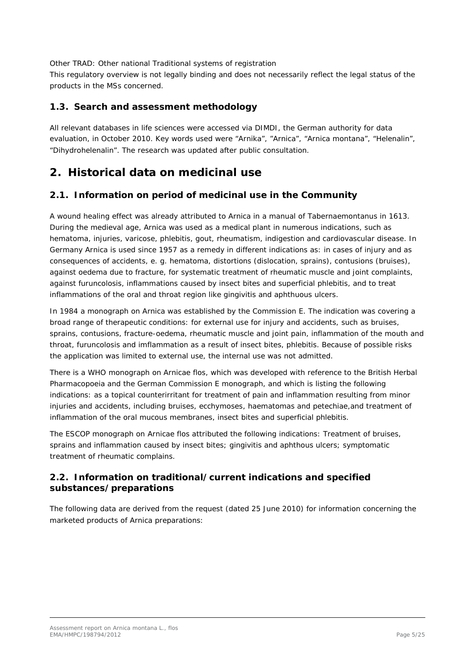Other TRAD: Other national Traditional systems of registration

This regulatory overview is not legally binding and does not necessarily reflect the legal status of the products in the MSs concerned.

## <span id="page-4-0"></span>*1.3. Search and assessment methodology*

All relevant databases in life sciences were accessed via DIMDI, the German authority for data evaluation, in October 2010. Key words used were "Arnika", "Arnica", "Arnica montana", "Helenalin", "Dihydrohelenalin". The research was updated after public consultation.

# <span id="page-4-1"></span>**2. Historical data on medicinal use**

## <span id="page-4-2"></span>*2.1. Information on period of medicinal use in the Community*

A wound healing effect was already attributed to Arnica in a manual of Tabernaemontanus in 1613. During the medieval age, Arnica was used as a medical plant in numerous indications, such as hematoma, injuries, varicose, phlebitis, gout, rheumatism, indigestion and cardiovascular disease. In Germany Arnica is used since 1957 as a remedy in different indications as: in cases of injury and as consequences of accidents, e. g. hematoma, distortions (dislocation, sprains), contusions (bruises), against oedema due to fracture, for systematic treatment of rheumatic muscle and joint complaints, against furuncolosis, inflammations caused by insect bites and superficial phlebitis, and to treat inflammations of the oral and throat region like gingivitis and aphthuous ulcers.

In 1984 a monograph on Arnica was established by the Commission E. The indication was covering a broad range of therapeutic conditions: for external use for injury and accidents, such as bruises, sprains, contusions, fracture-oedema, rheumatic muscle and joint pain, inflammation of the mouth and throat, furuncolosis and imflammation as a result of insect bites, phlebitis. Because of possible risks the application was limited to external use, the internal use was not admitted.

There is a WHO monograph on Arnicae flos, which was developed with reference to the British Herbal Pharmacopoeia and the German Commission E monograph, and which is listing the following indications: as a topical counterirritant for treatment of pain and inflammation resulting from minor injuries and accidents, including bruises, ecchymoses, haematomas and petechiae,and treatment of inflammation of the oral mucous membranes, insect bites and superficial phlebitis.

The ESCOP monograph on Arnicae flos attributed the following indications: Treatment of bruises, sprains and inflammation caused by insect bites; gingivitis and aphthous ulcers; symptomatic treatment of rheumatic complains.

# <span id="page-4-3"></span>*2.2. Information on traditional/current indications and specified substances/preparations*

The following data are derived from the request (dated 25 June 2010) for information concerning the marketed products of Arnica preparations: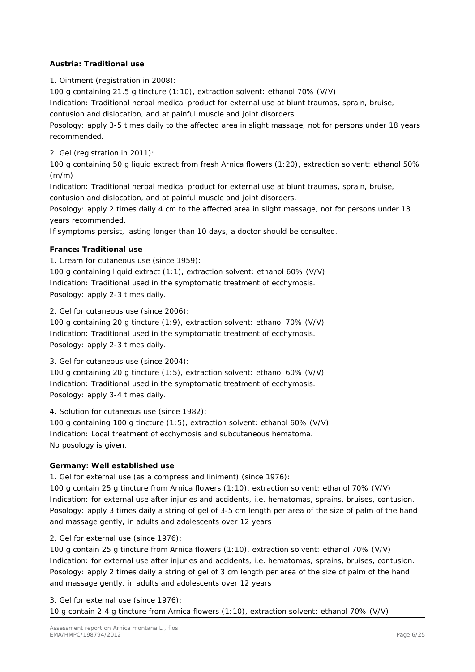## **Austria: Traditional use**

1. Ointment (registration in 2008):

100 g containing 21.5 g tincture (1:10), extraction solvent: ethanol 70% (V/V)

Indication: Traditional herbal medical product for external use at blunt traumas, sprain, bruise,

contusion and dislocation, and at painful muscle and joint disorders.

Posology: apply 3-5 times daily to the affected area in slight massage, not for persons under 18 years recommended.

2. Gel (registration in 2011):

100 g containing 50 g liquid extract from fresh Arnica flowers (1:20), extraction solvent: ethanol 50% (m/m)

Indication: Traditional herbal medical product for external use at blunt traumas, sprain, bruise,

contusion and dislocation, and at painful muscle and joint disorders.

Posology: apply 2 times daily 4 cm to the affected area in slight massage, not for persons under 18 years recommended.

If symptoms persist, lasting longer than 10 days, a doctor should be consulted.

## **France: Traditional use**

1. Cream for cutaneous use (since 1959):

100 g containing liquid extract (1:1), extraction solvent: ethanol 60% (V/V) Indication: Traditional used in the symptomatic treatment of ecchymosis. Posology: apply 2-3 times daily.

2. Gel for cutaneous use (since 2006):

100 g containing 20 g tincture (1:9), extraction solvent: ethanol 70% (V/V) Indication: Traditional used in the symptomatic treatment of ecchymosis. Posology: apply 2-3 times daily.

3. Gel for cutaneous use (since 2004):

100 g containing 20 g tincture (1:5), extraction solvent: ethanol 60% (V/V) Indication: Traditional used in the symptomatic treatment of ecchymosis. Posology: apply 3-4 times daily.

4. Solution for cutaneous use (since 1982):

100 g containing 100 g tincture (1:5), extraction solvent: ethanol 60% (V/V) Indication: Local treatment of ecchymosis and subcutaneous hematoma. No posology is given.

## **Germany: Well established use**

1. Gel for external use (as a compress and liniment) (since 1976):

100 g contain 25 g tincture from Arnica flowers (1:10), extraction solvent: ethanol 70% (V/V) Indication: for external use after injuries and accidents, i.e. hematomas, sprains, bruises, contusion. Posology: apply 3 times daily a string of gel of 3-5 cm length per area of the size of palm of the hand and massage gently, in adults and adolescents over 12 years

2. Gel for external use (since 1976):

100 g contain 25 g tincture from Arnica flowers (1:10), extraction solvent: ethanol 70% (V/V) Indication: for external use after injuries and accidents, i.e. hematomas, sprains, bruises, contusion. Posology: apply 2 times daily a string of gel of 3 cm length per area of the size of palm of the hand and massage gently, in adults and adolescents over 12 years

3. Gel for external use (since 1976):

10 g contain 2.4 g tincture from Arnica flowers (1:10), extraction solvent: ethanol 70% (V/V)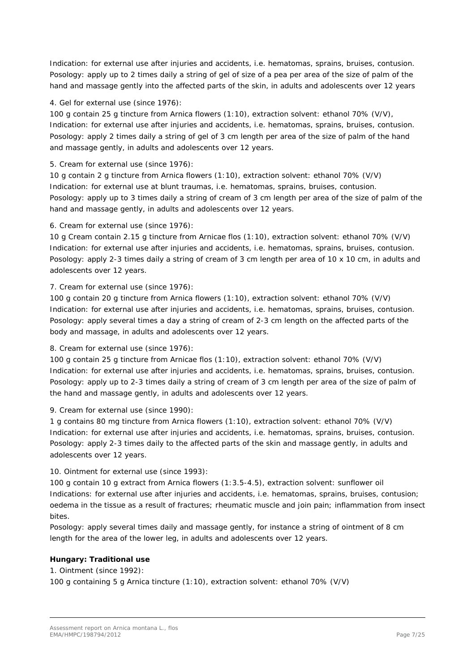Indication: for external use after injuries and accidents, i.e. hematomas, sprains, bruises, contusion. Posology: apply up to 2 times daily a string of gel of size of a pea per area of the size of palm of the hand and massage gently into the affected parts of the skin, in adults and adolescents over 12 years

## 4. Gel for external use (since 1976):

100 g contain 25 g tincture from Arnica flowers (1:10), extraction solvent: ethanol 70% (V/V), Indication: for external use after injuries and accidents, i.e. hematomas, sprains, bruises, contusion. Posology: apply 2 times daily a string of gel of 3 cm length per area of the size of palm of the hand and massage gently, in adults and adolescents over 12 years.

## 5. Cream for external use (since 1976):

10 g contain 2 g tincture from Arnica flowers (1:10), extraction solvent: ethanol 70% (V/V) Indication: for external use at blunt traumas, i.e. hematomas, sprains, bruises, contusion. Posology: apply up to 3 times daily a string of cream of 3 cm length per area of the size of palm of the hand and massage gently, in adults and adolescents over 12 years.

## 6. Cream for external use (since 1976):

10 g Cream contain 2.15 g tincture from Arnicae flos (1:10), extraction solvent: ethanol 70% (V/V) Indication: for external use after injuries and accidents, i.e. hematomas, sprains, bruises, contusion. Posology: apply 2-3 times daily a string of cream of 3 cm length per area of 10 x 10 cm, in adults and adolescents over 12 years.

7. Cream for external use (since 1976):

100 g contain 20 g tincture from Arnica flowers (1:10), extraction solvent: ethanol 70% (V/V) Indication: for external use after injuries and accidents, i.e. hematomas, sprains, bruises, contusion. Posology: apply several times a day a string of cream of 2-3 cm length on the affected parts of the body and massage, in adults and adolescents over 12 years.

## 8. Cream for external use (since 1976):

100 g contain 25 g tincture from Arnicae flos (1:10), extraction solvent: ethanol 70% (V/V) Indication: for external use after injuries and accidents, i.e. hematomas, sprains, bruises, contusion. Posology: apply up to 2-3 times daily a string of cream of 3 cm length per area of the size of palm of the hand and massage gently, in adults and adolescents over 12 years.

9. Cream for external use (since 1990):

1 g contains 80 mg tincture from Arnica flowers (1:10), extraction solvent: ethanol 70% (V/V) Indication: for external use after injuries and accidents, i.e. hematomas, sprains, bruises, contusion. Posology: apply 2-3 times daily to the affected parts of the skin and massage gently, in adults and adolescents over 12 years.

## 10. Ointment for external use (since 1993):

100 g contain 10 g extract from Arnica flowers (1:3.5-4.5), extraction solvent: sunflower oil Indications: for external use after injuries and accidents, i.e. hematomas, sprains, bruises, contusion; oedema in the tissue as a result of fractures; rheumatic muscle and join pain; inflammation from insect bites.

Posology: apply several times daily and massage gently, for instance a string of ointment of 8 cm length for the area of the lower leg, in adults and adolescents over 12 years.

## **Hungary: Traditional use**

1. Ointment (since 1992):

100 g containing 5 g Arnica tincture (1:10), extraction solvent: ethanol 70% (V/V)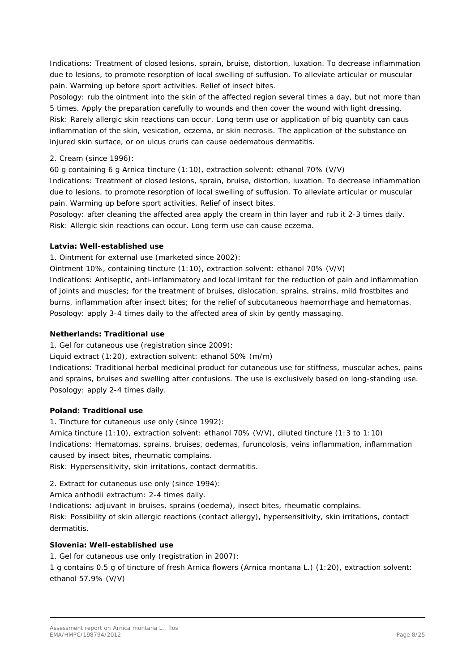Indications: Treatment of closed lesions, sprain, bruise, distortion, luxation. To decrease inflammation due to lesions, to promote resorption of local swelling of suffusion. To alleviate articular or muscular pain. Warming up before sport activities. Relief of insect bites.

Posology: rub the ointment into the skin of the affected region several times a day, but not more than 5 times. Apply the preparation carefully to wounds and then cover the wound with light dressing. Risk: Rarely allergic skin reactions can occur. Long term use or application of big quantity can caus inflammation of the skin, vesication, eczema, or skin necrosis. The application of the substance on injured skin surface, or on ulcus cruris can cause oedematous dermatitis.

## 2. Cream (since 1996):

60 g containing 6 g Arnica tincture (1:10), extraction solvent: ethanol 70% (V/V)

Indications: Treatment of closed lesions, sprain, bruise, distortion, luxation. To decrease inflammation due to lesions, to promote resorption of local swelling of suffusion. To alleviate articular or muscular pain. Warming up before sport activities. Relief of insect bites.

Posology: after cleaning the affected area apply the cream in thin layer and rub it 2-3 times daily. Risk: Allergic skin reactions can occur. Long term use can cause eczema.

#### **Latvia: Well-established use**

1. Ointment for external use (marketed since 2002):

Ointment 10%, containing tincture (1:10), extraction solvent: ethanol 70% (V/V)

Indications: Antiseptic, anti-inflammatory and local irritant for the reduction of pain and inflammation of joints and muscles; for the treatment of bruises, dislocation, sprains, strains, mild frostbites and burns, inflammation after insect bites; for the relief of subcutaneous haemorrhage and hematomas. Posology: apply 3-4 times daily to the affected area of skin by gently massaging.

#### **Netherlands: Traditional use**

1. Gel for cutaneous use (registration since 2009):

Liquid extract (1:20), extraction solvent: ethanol 50% (m/m)

Indications: Traditional herbal medicinal product for cutaneous use for stiffness, muscular aches, pains and sprains, bruises and swelling after contusions. The use is exclusively based on long-standing use. Posology: apply 2-4 times daily.

## **Poland: Traditional use**

1. Tincture for cutaneous use only (since 1992):

Arnica tincture (1:10), extraction solvent: ethanol 70% (V/V), diluted tincture (1:3 to 1:10) Indications: Hematomas, sprains, bruises, oedemas, furuncolosis, veins inflammation, inflammation caused by insect bites, rheumatic complains.

Risk: Hypersensitivity, skin irritations, contact dermatitis.

2. Extract for cutaneous use only (since 1994):

Arnica anthodii extractum: 2-4 times daily.

Indications: adjuvant in bruises, sprains (oedema), insect bites, rheumatic complains.

Risk: Possibility of skin allergic reactions (contact allergy), hypersensitivity, skin irritations, contact dermatitis.

## **Slovenia: Well-established use**

1. Gel for cutaneous use only (registration in 2007):

1 g contains 0.5 g of tincture of fresh Arnica flowers (*Arnica montana* L.) (1:20), extraction solvent: ethanol 57.9% (V/V)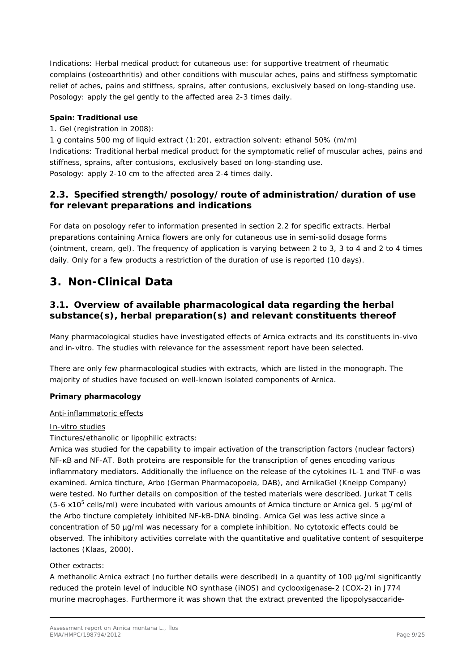Indications: Herbal medical product for cutaneous use: for supportive treatment of rheumatic complains (osteoarthritis) and other conditions with muscular aches, pains and stiffness symptomatic relief of aches, pains and stiffness, sprains, after contusions, exclusively based on long-standing use. Posology: apply the gel gently to the affected area 2-3 times daily.

## **Spain: Traditional use**

1. Gel (registration in 2008):

1 g contains 500 mg of liquid extract (1:20), extraction solvent: ethanol 50% (m/m) Indications: Traditional herbal medical product for the symptomatic relief of muscular aches, pains and stiffness, sprains, after contusions, exclusively based on long-standing use. Posology: apply 2-10 cm to the affected area 2-4 times daily.

# <span id="page-8-0"></span>*2.3. Specified strength/posology/route of administration/duration of use for relevant preparations and indications*

For data on posology refer to information presented in section 2.2 for specific extracts. Herbal preparations containing Arnica flowers are only for cutaneous use in semi-solid dosage forms (ointment, cream, gel). The frequency of application is varying between 2 to 3, 3 to 4 and 2 to 4 times daily. Only for a few products a restriction of the duration of use is reported (10 days).

# <span id="page-8-1"></span>**3. Non-Clinical Data**

# <span id="page-8-2"></span>*3.1. Overview of available pharmacological data regarding the herbal substance(s), herbal preparation(s) and relevant constituents thereof*

Many pharmacological studies have investigated effects of Arnica extracts and its constituents *in-vivo* and *in-vitro*. The studies with relevance for the assessment report have been selected.

There are only few pharmacological studies with extracts, which are listed in the monograph. The majority of studies have focused on well-known isolated components of Arnica*.*

## **Primary pharmacology**

#### Anti-inflammatoric effects

#### *In-vitro* studies

Tinctures/ethanolic or lipophilic extracts:

Arnica was studied for the capability to impair activation of the transcription factors (nuclear factors) NF-KB and NF-AT. Both proteins are responsible for the transcription of genes encoding various inflammatory mediators. Additionally the influence on the release of the cytokines IL-1 and TNF-α was examined. Arnica tincture, Arbo (German Pharmacopoeia, DAB), and ArnikaGel (Kneipp Company) were tested. No further details on composition of the tested materials were described. Jurkat T cells  $(5-6 \times 10^5 \text{ cells/ml})$  were incubated with various amounts of Arnica tincture or Arnica gel. 5  $\mu$ g/ml of the Arbo tincture completely inhibited NF-kB-DNA binding. Arnica Gel was less active since a concentration of 50 µg/ml was necessary for a complete inhibition. No cytotoxic effects could be observed. The inhibitory activities correlate with the quantitative and qualitative content of sesquiterpe lactones (Klaas, 2000).

#### Other extracts:

A methanolic Arnica extract (no further details were described) in a quantity of 100 µg/ml significantly reduced the protein level of inducible NO synthase (iNOS) and cyclooxigenase-2 (COX-2) in J774 murine macrophages. Furthermore it was shown that the extract prevented the lipopolysaccaride-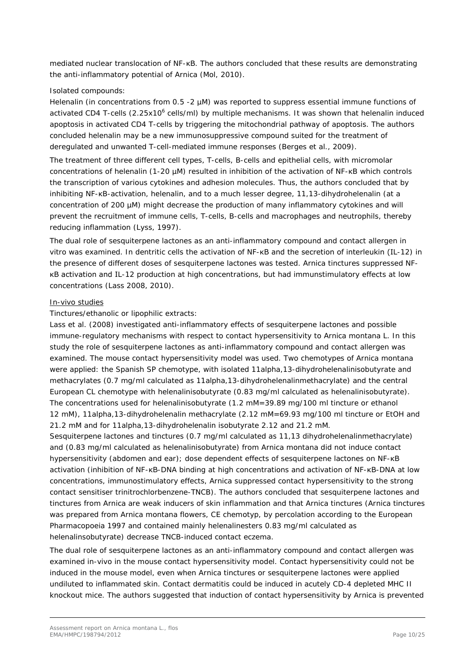mediated nuclear translocation of NF-KB. The authors concluded that these results are demonstrating the anti-inflammatory potential of Arnica (Mol, 2010).

#### Isolated compounds:

Helenalin (in concentrations from 0.5 -2  $\mu$ M) was reported to suppress essential immune functions of activated CD4 T-cells (2.25x10<sup>6</sup> cells/ml) by multiple mechanisms. It was shown that helenalin induced apoptosis in activated CD4 T-cells by triggering the mitochondrial pathway of apoptosis. The authors concluded helenalin may be a new immunosuppressive compound suited for the treatment of deregulated and unwanted T-cell-mediated immune responses (Berges *et al*., 2009).

The treatment of three different cell types, T-cells, B-cells and epithelial cells, with micromolar concentrations of helenalin (1-20 µM) resulted in inhibition of the activation of NF-κB which controls the transcription of various cytokines and adhesion molecules. Thus, the authors concluded that by inhibiting NF-κB-activation, helenalin, and to a much lesser degree, 11,13-dihydrohelenalin (at a concentration of 200 µM) might decrease the production of many inflammatory cytokines and will prevent the recruitment of immune cells, T-cells, B-cells and macrophages and neutrophils, thereby reducing inflammation (Lyss, 1997).

The dual role of sesquiterpene lactones as an anti-inflammatory compound and contact allergen *in vitro* was examined. In dentritic cells the activation of NF-ĸB and the secretion of interleukin (IL-12) in the presence of different doses of sesquiterpene lactones was tested. Arnica tinctures suppressed NFĸB activation and IL-12 production at high concentrations, but had immunstimulatory effects at low concentrations (Lass 2008, 2010).

#### *In-vivo* studies

Tinctures/ethanolic or lipophilic extracts:

Lass *et al*. (2008) investigated anti-inflammatory effects of sesquiterpene lactones and possible immune-regulatory mechanisms with respect to contact hypersensitivity to *Arnica montana* L. In this study the role of sesquiterpene lactones as anti-inflammatory compound and contact allergen was examined. The mouse contact hypersensitivity model was used. Two chemotypes of *Arnica montana* were applied: the Spanish SP chemotype, with isolated 11alpha,13-dihydrohelenalinisobutyrate and methacrylates (0.7 mg/ml calculated as 11alpha,13-dihydrohelenalinmethacrylate) and the central European CL chemotype with helenalinisobutyrate (0.83 mg/ml calculated as helenalinisobutyrate). The concentrations used for helenalinisobutyrate (1.2 mM=39.89 mg/100 ml tincture or ethanol 12 mM), 11alpha,13-dihydrohelenalin methacrylate (2.12 mM=69.93 mg/100 ml tincture or EtOH and 21.2 mM and for 11alpha,13-dihydrohelenalin isobutyrate 2.12 and 21.2 mM.

Sesquiterpene lactones and tinctures (0.7 mg/ml calculated as 11,13 dihydrohelenalinmethacrylate) and (0.83 mg/ml calculated as helenalinisobutyrate) from *Arnica montana* did not induce contact hypersensitivity (abdomen and ear); dose dependent effects of sesquiterpene lactones on NF-κB activation (inhibition of NF-κB-DNA binding at high concentrations and activation of NF-κB-DNA at low concentrations, immunostimulatory effects, Arnica suppressed contact hypersensitivity to the strong contact sensitiser trinitrochlorbenzene-TNCB). The authors concluded that sesquiterpene lactones and tinctures from Arnica are weak inducers of skin inflammation and that Arnica tinctures (Arnica tinctures was prepared from *Arnica montana* flowers, CE chemotyp, by percolation according to the European Pharmacopoeia 1997 and contained mainly helenalinesters 0.83 mg/ml calculated as helenalinsobutyrate) decrease TNCB-induced contact eczema.

The dual role of sesquiterpene lactones as an anti-inflammatory compound and contact allergen was examined *in-vivo* in the mouse contact hypersensitivity model. Contact hypersensitivity could not be induced in the mouse model, even when Arnica tinctures or sesquiterpene lactones were applied undiluted to inflammated skin. Contact dermatitis could be induced in acutely CD-4 depleted MHC II knockout mice. The authors suggested that induction of contact hypersensitivity by Arnica is prevented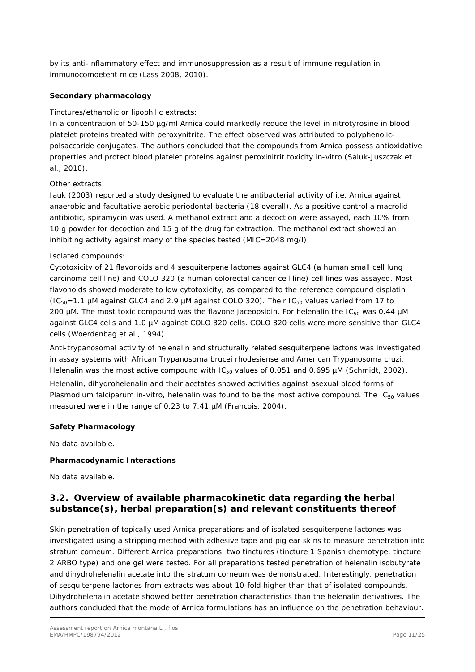by its anti-inflammatory effect and immunosuppression as a result of immune regulation in immunocomoetent mice (Lass 2008, 2010).

#### **Secondary pharmacology**

### Tinctures/ethanolic or lipophilic extracts:

In a concentration of 50-150 µg/ml Arnica could markedly reduce the level in nitrotyrosine in blood platelet proteins treated with peroxynitrite. The effect observed was attributed to polyphenolicpolsaccaride conjugates. The authors concluded that the compounds from Arnica possess antioxidative properties and protect blood platelet proteins against peroxinitrit toxicity *in-vitro* (Saluk-Juszczak *et al*., 2010).

#### Other extracts:

Iauk (2003) reported a study designed to evaluate the antibacterial activity of i.e. Arnica against anaerobic and facultative aerobic periodontal bacteria (18 overall). As a positive control a macrolid antibiotic, spiramycin was used. A methanol extract and a decoction were assayed, each 10% from 10 g powder for decoction and 15 g of the drug for extraction. The methanol extract showed an inhibiting activity against many of the species tested (MIC=2048 mg/l).

#### Isolated compounds:

Cytotoxicity of 21 flavonoids and 4 sesquiterpene lactones against GLC4 (a human small cell lung carcinoma cell line) and COLO 320 (a human colorectal cancer cell line) cell lines was assayed. Most flavonoids showed moderate to low cytotoxicity, as compared to the reference compound cisplatin ( $IC_{50}$ =1.1 µM against GLC4 and 2.9 µM against COLO 320). Their  $IC_{50}$  values varied from 17 to 200  $\mu$ M. The most toxic compound was the flavone jaceopsidin. For helenalin the IC<sub>50</sub> was 0.44  $\mu$ M against GLC4 cells and 1.0 µM against COLO 320 cells. COLO 320 cells were more sensitive than GLC4 cells (Woerdenbag *et al*., 1994).

Anti-trypanosomal activity of helenalin and structurally related sesquiterpene lactons was investigated in assay systems with African *Trypanosoma brucei rhodesiense* and American *Trypanosoma cruzi*. Helenalin was the most active compound with  $IC_{50}$  values of 0.051 and 0.695  $\mu$ M (Schmidt, 2002).

Helenalin, dihydrohelenalin and their acetates showed activities against asexual blood forms of *Plasmodium falciparum in-vitro*, helenalin was found to be the most active compound. The IC<sub>50</sub> values measured were in the range of 0.23 to 7.41 µM (Francois, 2004).

#### **Safety Pharmacology**

No data available.

#### **Pharmacodynamic Interactions**

No data available.

## <span id="page-10-0"></span>*3.2. Overview of available pharmacokinetic data regarding the herbal substance(s), herbal preparation(s) and relevant constituents thereof*

Skin penetration of topically used Arnica preparations and of isolated sesquiterpene lactones was investigated using a stripping method with adhesive tape and pig ear skins to measure penetration into stratum corneum. Different Arnica preparations, two tinctures (tincture 1 Spanish chemotype, tincture 2 ARBO type) and one gel were tested. For all preparations tested penetration of helenalin isobutyrate and dihydrohelenalin acetate into the stratum corneum was demonstrated. Interestingly, penetration of sesquiterpene lactones from extracts was about 10-fold higher than that of isolated compounds. Dihydrohelenalin acetate showed better penetration characteristics than the helenalin derivatives. The authors concluded that the mode of Arnica formulations has an influence on the penetration behaviour.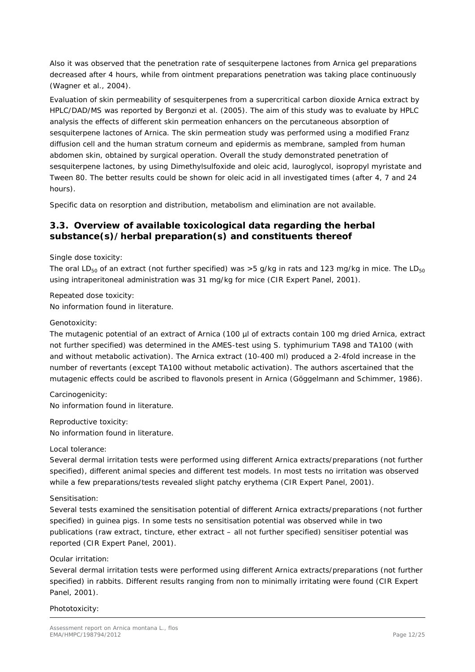Also it was observed that the penetration rate of sesquiterpene lactones from Arnica gel preparations decreased after 4 hours, while from ointment preparations penetration was taking place continuously (Wagner *et al*., 2004).

Evaluation of skin permeability of sesquiterpenes from a supercritical carbon dioxide Arnica extract by HPLC/DAD/MS was reported by Bergonzi *et al*. (2005). The aim of this study was to evaluate by HPLC analysis the effects of different skin permeation enhancers on the percutaneous absorption of sesquiterpene lactones of Arnica. The skin permeation study was performed using a modified Franz diffusion cell and the human stratum corneum and epidermis as membrane, sampled from human abdomen skin, obtained by surgical operation. Overall the study demonstrated penetration of sesquiterpene lactones, by using Dimethylsulfoxide and oleic acid, lauroglycol, isopropyl myristate and Tween 80. The better results could be shown for oleic acid in all investigated times (after 4, 7 and 24 hours).

Specific data on resorption and distribution, metabolism and elimination are not available.

# <span id="page-11-0"></span>*3.3. Overview of available toxicological data regarding the herbal substance(s)/herbal preparation(s) and constituents thereof*

Single dose toxicity:

The oral LD<sub>50</sub> of an extract (not further specified) was  $>5$  g/kg in rats and 123 mg/kg in mice. The LD<sub>50</sub> using intraperitoneal administration was 31 mg/kg for mice (CIR Expert Panel, 2001).

Repeated dose toxicity: No information found in literature.

#### Genotoxicity:

The mutagenic potential of an extract of Arnica (100 µl of extracts contain 100 mg dried Arnica, extract not further specified) was determined in the AMES-test using *S. typhimurium* TA98 and TA100 (with and without metabolic activation). The Arnica extract (10-400 ml) produced a 2-4fold increase in the number of revertants (except TA100 without metabolic activation). The authors ascertained that the mutagenic effects could be ascribed to flavonols present in Arnica (Göggelmann and Schimmer, 1986).

Carcinogenicity: No information found in literature.

Reproductive toxicity: No information found in literature.

#### Local tolerance:

Several dermal irritation tests were performed using different Arnica extracts/preparations (not further specified), different animal species and different test models. In most tests no irritation was observed while a few preparations/tests revealed slight patchy erythema (CIR Expert Panel, 2001).

## Sensitisation:

Several tests examined the sensitisation potential of different Arnica extracts/preparations (not further specified) in guinea pigs. In some tests no sensitisation potential was observed while in two publications (raw extract, tincture, ether extract – all not further specified) sensitiser potential was reported (CIR Expert Panel, 2001).

#### Ocular irritation:

Several dermal irritation tests were performed using different Arnica extracts/preparations (not further specified) in rabbits. Different results ranging from non to minimally irritating were found (CIR Expert Panel, 2001).

## Phototoxicity: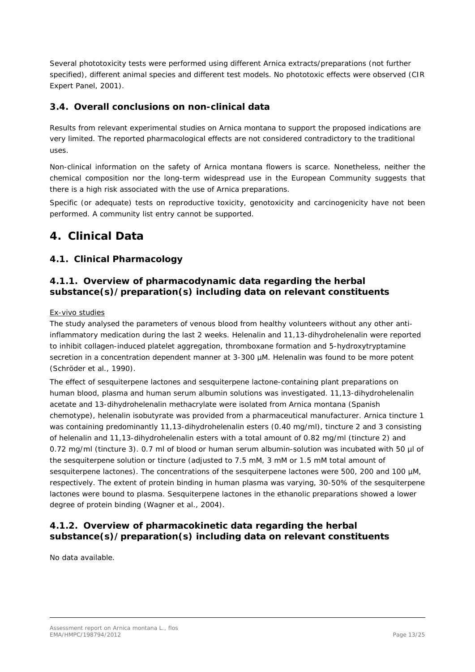Several phototoxicity tests were performed using different Arnica extracts/preparations (not further specified), different animal species and different test models. No phototoxic effects were observed (CIR Expert Panel, 2001).

# <span id="page-12-0"></span>*3.4. Overall conclusions on non-clinical data*

Results from relevant experimental studies on *Arnica montana* to support the proposed indications are very limited. The reported pharmacological effects are not considered contradictory to the traditional uses.

Non-clinical information on the safety of *Arnica montana* flowers is scarce. Nonetheless, neither the chemical composition nor the long-term widespread use in the European Community suggests that there is a high risk associated with the use of Arnica preparations.

Specific (or adequate) tests on reproductive toxicity, genotoxicity and carcinogenicity have not been performed. A community list entry cannot be supported.

# <span id="page-12-1"></span>**4. Clinical Data**

# <span id="page-12-2"></span>*4.1. Clinical Pharmacology*

# <span id="page-12-3"></span>**4.1.1. Overview of pharmacodynamic data regarding the herbal substance(s)/preparation(s) including data on relevant constituents**

#### Ex-vivo studies

The study analysed the parameters of venous blood from healthy volunteers without any other antiinflammatory medication during the last 2 weeks. Helenalin and 11,13-dihydrohelenalin were reported to inhibit collagen-induced platelet aggregation, thromboxane formation and 5-hydroxytryptamine secretion in a concentration dependent manner at 3-300  $\mu$ M. Helenalin was found to be more potent (Schröder *et al*., 1990).

The effect of sesquiterpene lactones and sesquiterpene lactone-containing plant preparations on human blood, plasma and human serum albumin solutions was investigated. 11,13-dihydrohelenalin acetate and 13-dihydrohelenalin methacrylate were isolated from *Arnica montana* (Spanish chemotype), helenalin isobutyrate was provided from a pharmaceutical manufacturer. Arnica tincture 1 was containing predominantly 11,13-dihydrohelenalin esters (0.40 mg/ml), tincture 2 and 3 consisting of helenalin and 11,13-dihydrohelenalin esters with a total amount of 0.82 mg/ml (tincture 2) and 0.72 mg/ml (tincture 3). 0.7 ml of blood or human serum albumin-solution was incubated with 50 µl of the sesquiterpene solution or tincture (adjusted to 7.5 mM, 3 mM or 1.5 mM total amount of sesquiterpene lactones). The concentrations of the sesquiterpene lactones were 500, 200 and 100  $\mu$ M, respectively. The extent of protein binding in human plasma was varying, 30-50% of the sesquiterpene lactones were bound to plasma. Sesquiterpene lactones in the ethanolic preparations showed a lower degree of protein binding (Wagner *et al*., 2004).

## <span id="page-12-4"></span>**4.1.2. Overview of pharmacokinetic data regarding the herbal substance(s)/preparation(s) including data on relevant constituents**

No data available.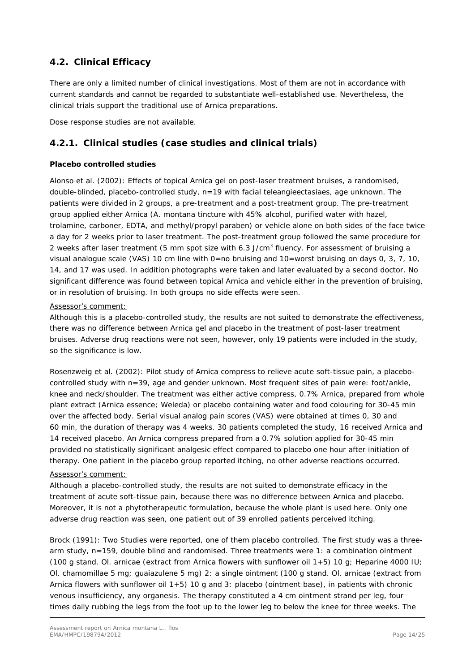# <span id="page-13-0"></span>*4.2. Clinical Efficacy*

There are only a limited number of clinical investigations. Most of them are not in accordance with current standards and cannot be regarded to substantiate well-established use. Nevertheless, the clinical trials support the traditional use of Arnica preparations.

Dose response studies are not available.

# <span id="page-13-1"></span>**4.2.1. Clinical studies (case studies and clinical trials)**

## **Placebo controlled studies**

Alonso *et al*. (2002): Effects of topical Arnica gel on post-laser treatment bruises, a randomised, double-blinded, placebo-controlled study, n=19 with facial teleangieectasiaes, age unknown. The patients were divided in 2 groups, a pre-treatment and a post-treatment group. The pre-treatment group applied either Arnica (*A. montana* tincture with 45% alcohol, purified water with hazel, trolamine, carboner, EDTA, and methyl/propyl paraben) or vehicle alone on both sides of the face twice a day for 2 weeks prior to laser treatment. The post-treatment group followed the same procedure for 2 weeks after laser treatment (5 mm spot size with 6.3 J/cm<sup>3</sup> fluency. For assessment of bruising a visual analogue scale (VAS) 10 cm line with 0=no bruising and 10=worst bruising on days 0, 3, 7, 10, 14, and 17 was used. In addition photographs were taken and later evaluated by a second doctor. No significant difference was found between topical Arnica and vehicle either in the prevention of bruising, or in resolution of bruising. In both groups no side effects were seen.

#### *Assessor's comment:*

*Although this is a placebo-controlled study, the results are not suited to demonstrate the effectiveness, there was no difference between Arnica gel and placebo in the treatment of post-laser treatment bruises. Adverse drug reactions were not seen, however, only 19 patients were included in the study, so the significance is low.*

Rosenzweig *et al*. (2002): Pilot study of Arnica compress to relieve acute soft-tissue pain, a placebocontrolled study with n=39, age and gender unknown. Most frequent sites of pain were: foot/ankle, knee and neck/shoulder. The treatment was either active compress, 0.7% Arnica, prepared from whole plant extract (Arnica essence; Weleda) or placebo containing water and food colouring for 30-45 min over the affected body. Serial visual analog pain scores (VAS) were obtained at times 0, 30 and 60 min, the duration of therapy was 4 weeks. 30 patients completed the study, 16 received Arnica and 14 received placebo. An Arnica compress prepared from a 0.7% solution applied for 30-45 min provided no statistically significant analgesic effect compared to placebo one hour after initiation of therapy. One patient in the placebo group reported itching, no other adverse reactions occurred.

### *Assessor's comment:*

*Although a placebo-controlled study, the results are not suited to demonstrate efficacy in the treatment of acute soft-tissue pain, because there was no difference between Arnica and placebo. Moreover, it is not a phytotherapeutic formulation, because the whole plant is used here. Only one adverse drug reaction was seen, one patient out of 39 enrolled patients perceived itching.*

Brock (1991): Two Studies were reported, one of them placebo controlled. The first study was a threearm study, n=159, double blind and randomised. Three treatments were 1: a combination ointment (100 g stand. Ol. arnicae (extract from Arnica flowers with sunflower oil 1+5) 10 g; Heparine 4000 IU; Ol. chamomillae 5 mg; guaiazulene 5 mg) 2: a single ointment (100 g stand. Ol. arnicae (extract from Arnica flowers with sunflower oil  $1+5$ ) 10 g and 3: placebo (ointment base), in patients with chronic venous insufficiency, any organesis. The therapy constituted a 4 cm ointment strand per leg, four times daily rubbing the legs from the foot up to the lower leg to below the knee for three weeks. The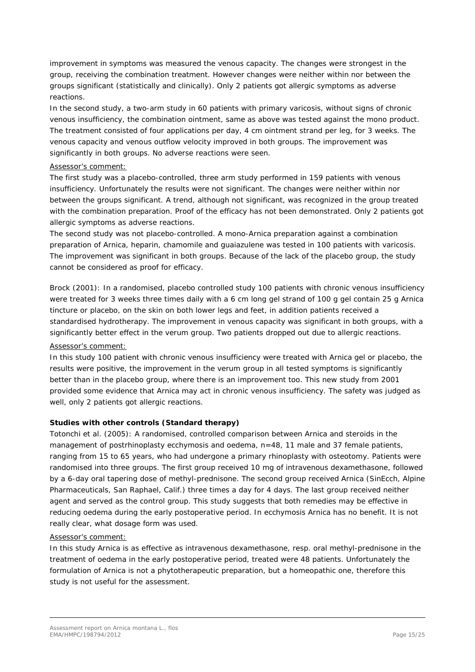improvement in symptoms was measured the venous capacity. The changes were strongest in the group, receiving the combination treatment. However changes were neither within nor between the groups significant (statistically and clinically). Only 2 patients got allergic symptoms as adverse reactions.

In the second study, a two-arm study in 60 patients with primary varicosis, without signs of chronic venous insufficiency, the combination ointment, same as above was tested against the mono product. The treatment consisted of four applications per day, 4 cm ointment strand per leg, for 3 weeks. The venous capacity and venous outflow velocity improved in both groups. The improvement was significantly in both groups. No adverse reactions were seen.

#### *Assessor's comment:*

*The first study was a placebo-controlled, three arm study performed in 159 patients with venous insufficiency. Unfortunately the results were not significant. The changes were neither within nor between the groups significant. A trend, although not significant, was recognized in the group treated with the combination preparation. Proof of the efficacy has not been demonstrated. Only 2 patients got allergic symptoms as adverse reactions.*

*The second study was not placebo-controlled. A mono-Arnica preparation against a combination preparation of Arnica, heparin, chamomile and guaiazulene was tested in 100 patients with varicosis. The improvement was significant in both groups. Because of the lack of the placebo group, the study cannot be considered as proof for efficacy.*

Brock (2001): In a randomised, placebo controlled study 100 patients with chronic venous insufficiency were treated for 3 weeks three times daily with a 6 cm long gel strand of 100 g gel contain 25 g Arnica tincture or placebo, on the skin on both lower legs and feet, in addition patients received a standardised hydrotherapy. The improvement in venous capacity was significant in both groups, with a significantly better effect in the verum group. Two patients dropped out due to allergic reactions.

## *Assessor's comment:*

In this study 100 patient with chronic venous insufficiency were treated with Arnica gel or placebo, the *results were positive, the improvement in the verum group in all tested symptoms is significantly better than in the placebo group, where there is an improvement too. This new study from 2001 provided some evidence that Arnica may act in chronic venous insufficiency. The safety was judged as well, only 2 patients got allergic reactions.*

#### **Studies with other controls (Standard therapy)**

Totonchi *et al.* (2005): A randomised, controlled comparison between Arnica and steroids in the management of postrhinoplasty ecchymosis and oedema, n=48, 11 male and 37 female patients, ranging from 15 to 65 years, who had undergone a primary rhinoplasty with osteotomy. Patients were randomised into three groups. The first group received 10 mg of intravenous dexamethasone, followed by a 6-day oral tapering dose of methyl-prednisone. The second group received Arnica (SinEcch, Alpine Pharmaceuticals, San Raphael, Calif.) three times a day for 4 days. The last group received neither agent and served as the control group. This study suggests that both remedies may be effective in reducing oedema during the early postoperative period. In ecchymosis Arnica has no benefit. It is not really clear, what dosage form was used.

#### *Assessor's comment:*

*In this study Arnica is as effective as intravenous dexamethasone, resp. oral methyl-prednisone in the treatment of oedema in the early postoperative period, treated were 48 patients. Unfortunately the formulation of Arnica is not a phytotherapeutic preparation, but a homeopathic one, therefore this study is not useful for the assessment.*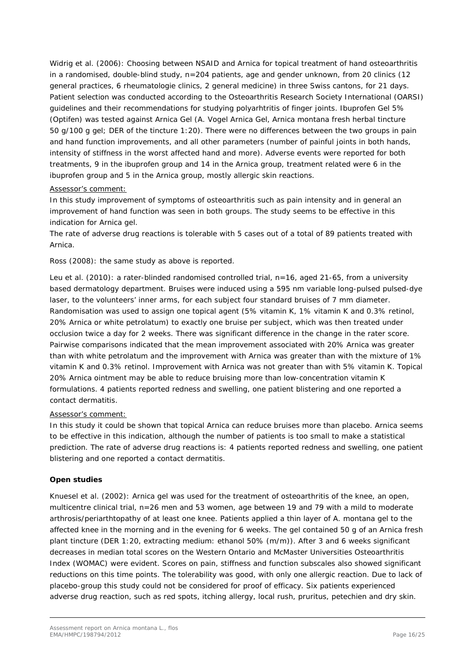Widrig *et al*. (2006): Choosing between NSAID and Arnica for topical treatment of hand osteoarthritis in a randomised, double-blind study, n=204 patients, age and gender unknown, from 20 clinics (12 general practices, 6 rheumatologie clinics, 2 general medicine) in three Swiss cantons, for 21 days. Patient selection was conducted according to the Osteoarthritis Research Society International (OARSI) guidelines and their recommendations for studying polyarhtritis of finger joints. Ibuprofen Gel 5% (Optifen) was tested against Arnica Gel (A. Vogel Arnica Gel, *Arnica montana* fresh herbal tincture 50 g/100 g gel; DER of the tincture 1:20). There were no differences between the two groups in pain and hand function improvements, and all other parameters (number of painful joints in both hands, intensity of stiffness in the worst affected hand and more). Adverse events were reported for both treatments, 9 in the ibuprofen group and 14 in the Arnica group, treatment related were 6 in the ibuprofen group and 5 in the Arnica group, mostly allergic skin reactions.

#### *Assessor's comment:*

In this study improvement of symptoms of osteoarthritis such as pain intensity and in general an *improvement of hand function was seen in both groups. The study seems to be effective in this indication for Arnica gel.*

*The rate of adverse drug reactions is tolerable with 5 cases out of a total of 89 patients treated with Arnica.*

Ross (2008): the same study as above is reported.

Leu *et al*. (2010): a rater-blinded randomised controlled trial, n=16, aged 21-65, from a university based dermatology department. Bruises were induced using a 595 nm variable long-pulsed pulsed-dye laser, to the volunteers' inner arms, for each subject four standard bruises of 7 mm diameter. Randomisation was used to assign one topical agent (5% vitamin K, 1% vitamin K and 0.3% retinol, 20% Arnica or white petrolatum) to exactly one bruise per subject, which was then treated under occlusion twice a day for 2 weeks. There was significant difference in the change in the rater score. Pairwise comparisons indicated that the mean improvement associated with 20% Arnica was greater than with white petrolatum and the improvement with Arnica was greater than with the mixture of 1% vitamin K and 0.3% retinol. Improvement with Arnica was not greater than with 5% vitamin K. Topical 20% Arnica ointment may be able to reduce bruising more than low-concentration vitamin K formulations. 4 patients reported redness and swelling, one patient blistering and one reported a contact dermatitis.

## *Assessor's comment:*

*In this study it could be shown that topical Arnica can reduce bruises more than placebo. Arnica seems to be effective in this indication, although the number of patients is too small to make a statistical prediction. The rate of adverse drug reactions is: 4 patients reported redness and swelling, one patient blistering and one reported a contact dermatitis.*

## **Open studies**

Knuesel *et al*. (2002): *Arnica* gel was used for the treatment of osteoarthritis of the knee, an open, multicentre clinical trial, n=26 men and 53 women, age between 19 and 79 with a mild to moderate arthrosis/periarthtopathy of at least one knee. Patients applied a thin layer of *A. montana* gel to the affected knee in the morning and in the evening for 6 weeks. The gel contained 50 g of an Arnica fresh plant tincture (DER 1:20, extracting medium: ethanol 50% (m/m)). After 3 and 6 weeks significant decreases in median total scores on the Western Ontario and McMaster Universities Osteoarthritis Index (WOMAC) were evident. Scores on pain, stiffness and function subscales also showed significant reductions on this time points. The tolerability was good, with only one allergic reaction. Due to lack of placebo-group this study could not be considered for proof of efficacy. Six patients experienced adverse drug reaction, such as red spots, itching allergy, local rush, pruritus, petechien and dry skin.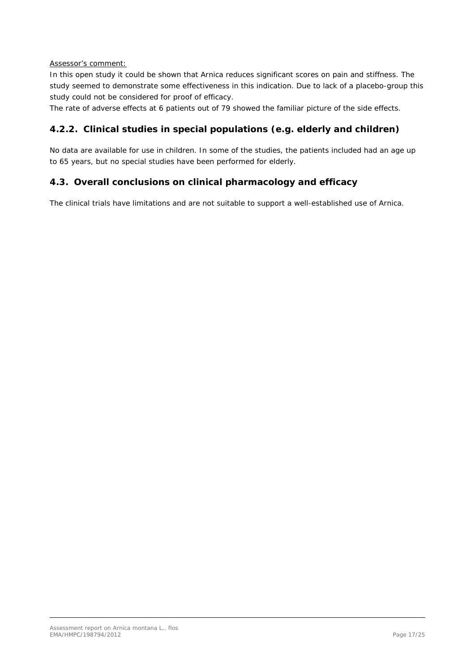### *Assessor's comment:*

*In this open study it could be shown that Arnica reduces significant scores on pain and stiffness. The study seemed to demonstrate some effectiveness in this indication. Due to lack of a placebo-group this study could not be considered for proof of efficacy.*

*The rate of adverse effects at 6 patients out of 79 showed the familiar picture of the side effects.*

# <span id="page-16-0"></span>**4.2.2. Clinical studies in special populations (e.g. elderly and children)**

No data are available for use in children. In some of the studies, the patients included had an age up to 65 years, but no special studies have been performed for elderly.

## <span id="page-16-1"></span>*4.3. Overall conclusions on clinical pharmacology and efficacy*

The clinical trials have limitations and are not suitable to support a well-established use of Arnica.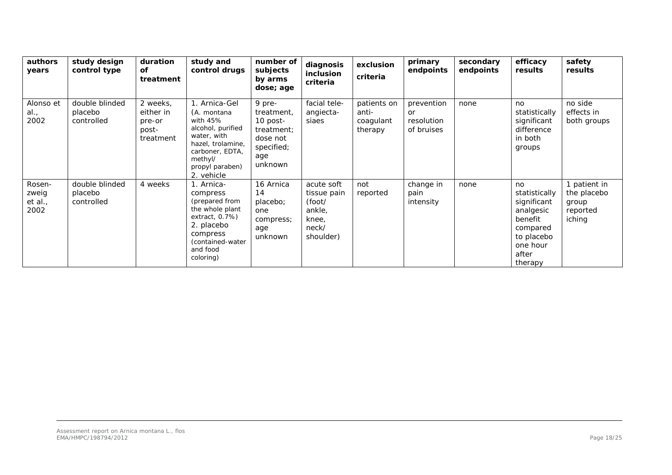| authors<br>years                   | study design<br>control type            | duration<br>Οf<br>treatment                           | study and<br>control drugs                                                                                                                                         | number of<br>subjects<br>by arms<br>dose; age                                                | diagnosis<br>inclusion<br>criteria                                           | exclusion<br>criteria                        | primary<br>endpoints                         | secondary<br>endpoints | efficacy<br>results                                                                                                  | safety<br>results                                          |
|------------------------------------|-----------------------------------------|-------------------------------------------------------|--------------------------------------------------------------------------------------------------------------------------------------------------------------------|----------------------------------------------------------------------------------------------|------------------------------------------------------------------------------|----------------------------------------------|----------------------------------------------|------------------------|----------------------------------------------------------------------------------------------------------------------|------------------------------------------------------------|
| Alonso et<br>al.<br>2002           | double blinded<br>placebo<br>controlled | 2 weeks,<br>either in<br>pre-or<br>post-<br>treatment | 1. Arnica-Gel<br>(A. montana<br>with $45%$<br>alcohol, purified<br>water, with<br>hazel, trolamine,<br>carboner, EDTA,<br>methyl/<br>propyl paraben)<br>2. vehicle | 9 pre-<br>treatment,<br>$10$ post-<br>treatment:<br>dose not<br>specified;<br>age<br>unknown | facial tele-<br>angiecta-<br>siaes                                           | patients on<br>anti-<br>coagulant<br>therapy | prevention<br>or<br>resolution<br>of bruises | none                   | no<br>statistically<br>significant<br>difference<br>in both<br>groups                                                | no side<br>effects in<br>both groups                       |
| Rosen-<br>zweig<br>et al.,<br>2002 | double blinded<br>placebo<br>controlled | 4 weeks                                               | 1. Arnica-<br>compress<br>(prepared from<br>the whole plant<br>extract, $0.7%$ )<br>2. placebo<br>compress<br>(contained-water<br>and food<br>coloring)            | 16 Arnica<br>14<br>placebo;<br>one<br>compress;<br>age<br>unknown                            | acute soft<br>tissue pain<br>(foot/<br>ankle,<br>knee,<br>neck/<br>shoulder) | not<br>reported                              | change in<br>pain<br>intensity               | none                   | no<br>statistically<br>significant<br>analgesic<br>benefit<br>compared<br>to placebo<br>one hour<br>after<br>therapy | 1 patient in<br>the placebo<br>group<br>reported<br>iching |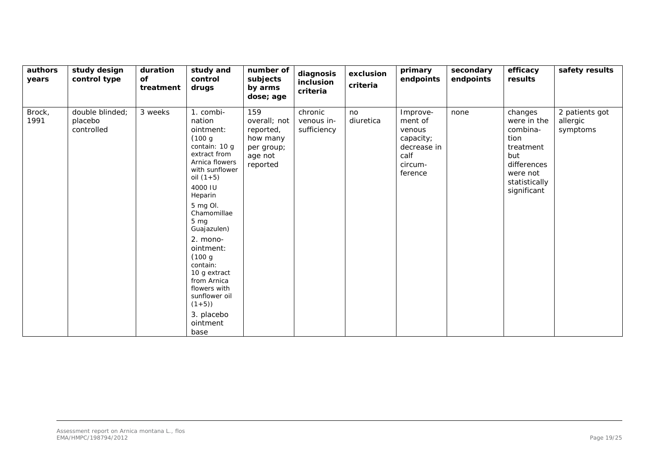| authors<br>years | study design<br>control type             | duration<br>of<br>treatment | study and<br>control<br>drugs                                                                                                                                                                                                                                                                                                                                             | number of<br>subjects<br>by arms<br>dose; age                                     | diagnosis<br>inclusion<br>criteria   | exclusion<br>criteria | primary<br>endpoints                                                                    | secondary<br>endpoints | efficacy<br>results                                                                                                       | safety results                         |
|------------------|------------------------------------------|-----------------------------|---------------------------------------------------------------------------------------------------------------------------------------------------------------------------------------------------------------------------------------------------------------------------------------------------------------------------------------------------------------------------|-----------------------------------------------------------------------------------|--------------------------------------|-----------------------|-----------------------------------------------------------------------------------------|------------------------|---------------------------------------------------------------------------------------------------------------------------|----------------------------------------|
| Brock,<br>1991   | double blinded;<br>placebo<br>controlled | 3 weeks                     | 1. combi-<br>nation<br>ointment:<br>(100 g)<br>contain: 10 g<br>extract from<br>Arnica flowers<br>with sunflower<br>oil $(1+5)$<br>4000 IU<br>Heparin<br>5 mg OI.<br>Chamomillae<br>$5 \, mg$<br>Guajazulen)<br>2. mono-<br>ointment:<br>(100 g)<br>contain:<br>10 g extract<br>from Arnica<br>flowers with<br>sunflower oil<br>$(1+5)$<br>3. placebo<br>ointment<br>base | 159<br>overall; not<br>reported,<br>how many<br>per group;<br>age not<br>reported | chronic<br>venous in-<br>sufficiency | no<br>diuretica       | Improve-<br>ment of<br>venous<br>capacity;<br>decrease in<br>calf<br>circum-<br>ference | none                   | changes<br>were in the<br>combina-<br>tion<br>treatment<br>but<br>differences<br>were not<br>statistically<br>significant | 2 patients got<br>allergic<br>symptoms |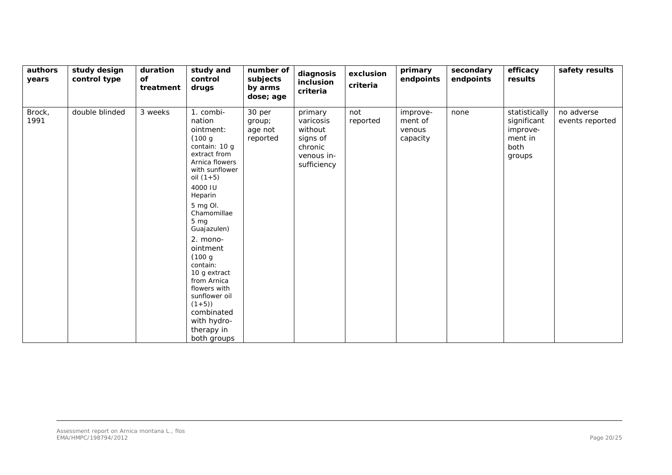| authors<br>years | study design<br>control type | duration<br><b>of</b><br>treatment | study and<br>control<br>drugs                                                                                                                                                                                                                                                                                                                                                                         | number of<br>subjects<br>by arms<br>dose; age | diagnosis<br>inclusion<br>criteria                                                  | exclusion<br>criteria | primary<br>endpoints                      | secondary<br>endpoints | efficacy<br>results                                                   | safety results                |
|------------------|------------------------------|------------------------------------|-------------------------------------------------------------------------------------------------------------------------------------------------------------------------------------------------------------------------------------------------------------------------------------------------------------------------------------------------------------------------------------------------------|-----------------------------------------------|-------------------------------------------------------------------------------------|-----------------------|-------------------------------------------|------------------------|-----------------------------------------------------------------------|-------------------------------|
| Brock,<br>1991   | double blinded               | 3 weeks                            | 1. combi-<br>nation<br>ointment:<br>(100 g<br>contain: 10 g<br>extract from<br>Arnica flowers<br>with sunflower<br>oil $(1+5)$<br>4000 IU<br>Heparin<br>5 mg Ol.<br>Chamomillae<br>5 <sub>mg</sub><br>Guajazulen)<br>2. mono-<br>ointment<br>(100 g)<br>contain:<br>10 g extract<br>from Arnica<br>flowers with<br>sunflower oil<br>$(1+5)$<br>combinated<br>with hydro-<br>therapy in<br>both groups | 30 per<br>group;<br>age not<br>reported       | primary<br>varicosis<br>without<br>signs of<br>chronic<br>venous in-<br>sufficiency | not<br>reported       | improve-<br>ment of<br>venous<br>capacity | none                   | statistically<br>significant<br>improve-<br>ment in<br>both<br>groups | no adverse<br>events reported |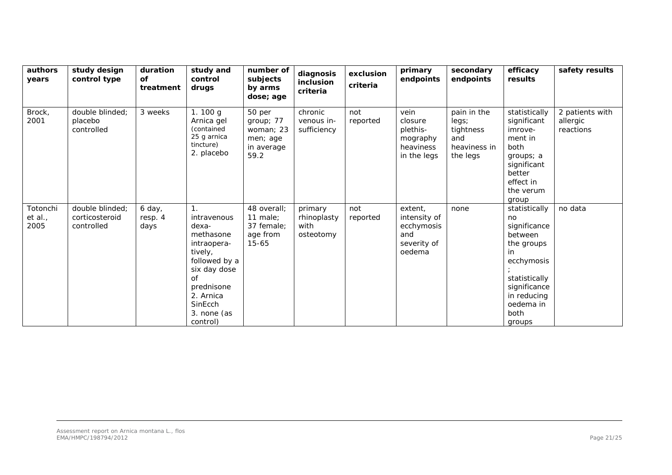| authors<br>years            | study design<br>control type                    | duration<br>οf<br>treatment | study and<br>control<br>drugs                                                                                                                                                         | number of<br>subjects<br>by arms<br>dose; age                      | diagnosis<br>inclusion<br>criteria          | exclusion<br>criteria | primary<br>endpoints                                                  | secondary<br>endpoints                                               | efficacy<br>results                                                                                                                                       | safety results                           |
|-----------------------------|-------------------------------------------------|-----------------------------|---------------------------------------------------------------------------------------------------------------------------------------------------------------------------------------|--------------------------------------------------------------------|---------------------------------------------|-----------------------|-----------------------------------------------------------------------|----------------------------------------------------------------------|-----------------------------------------------------------------------------------------------------------------------------------------------------------|------------------------------------------|
| Brock,<br>2001              | double blinded:<br>placebo<br>controlled        | 3 weeks                     | 1.100 $g$<br>Arnica gel<br>(contained<br>25 g arnica<br>tincture)<br>2. placebo                                                                                                       | 50 per<br>group; 77<br>woman; 23<br>men; age<br>in average<br>59.2 | chronic<br>venous in-<br>sufficiency        | not<br>reported       | vein<br>closure<br>plethis-<br>mography<br>heaviness<br>in the legs   | pain in the<br>legs;<br>tightness<br>and<br>heaviness in<br>the legs | statistically<br>significant<br>imrove-<br>ment in<br>both<br>groups; a<br>significant<br>better<br>effect in<br>the verum<br>group                       | 2 patients with<br>allergic<br>reactions |
| Totonchi<br>et al.,<br>2005 | double blinded;<br>corticosteroid<br>controlled | 6 day,<br>resp. 4<br>days   | 1 <sub>1</sub><br>intravenous<br>dexa-<br>methasone<br>intraopera-<br>tively,<br>followed by a<br>six day dose<br>оf<br>prednisone<br>2. Arnica<br>SinEcch<br>3. none (as<br>control) | 48 overall;<br>11 male:<br>37 female;<br>age from<br>$15 - 65$     | primary<br>rhinoplasty<br>with<br>osteotomy | not<br>reported       | extent,<br>intensity of<br>ecchymosis<br>and<br>severity of<br>oedema | none                                                                 | statistically<br>no<br>significance<br>between<br>the groups<br>ecchymosis<br>statistically<br>significance<br>in reducing<br>oedema in<br>both<br>groups | no data                                  |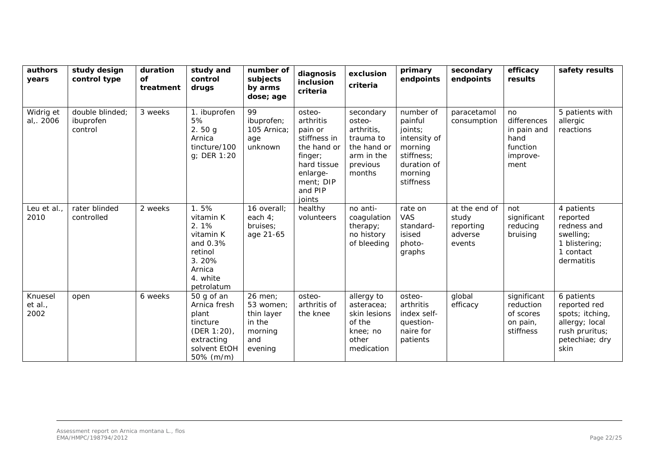| authors<br>years          | study design<br>control type            | duration<br><b>of</b><br>treatment | study and<br>control<br>drugs                                                                                | number of<br>subjects<br>by arms<br>dose; age                             | diagnosis<br>inclusion<br>criteria                                                                                                    | exclusion<br>criteria                                                                             | primary<br>endpoints                                                                                            | secondary<br>endpoints                                   | efficacy<br>results                                                      | safety results                                                                                              |
|---------------------------|-----------------------------------------|------------------------------------|--------------------------------------------------------------------------------------------------------------|---------------------------------------------------------------------------|---------------------------------------------------------------------------------------------------------------------------------------|---------------------------------------------------------------------------------------------------|-----------------------------------------------------------------------------------------------------------------|----------------------------------------------------------|--------------------------------------------------------------------------|-------------------------------------------------------------------------------------------------------------|
| Widrig et<br>al, 2006     | double blinded;<br>ibuprofen<br>control | 3 weeks                            | 1. ibuprofen<br>5%<br>2.50g<br>Arnica<br>tincture/100<br>g; DER 1:20                                         | 99<br>ibuprofen;<br>105 Arnica<br>age<br>unknown                          | osteo-<br>arthritis<br>pain or<br>stiffness in<br>the hand or<br>finger;<br>hard tissue<br>enlarge-<br>ment; DIP<br>and PIP<br>joints | secondary<br>osteo-<br>arthritis,<br>trauma to<br>the hand or<br>arm in the<br>previous<br>months | number of<br>painful<br>joints;<br>intensity of<br>morning<br>stiffness;<br>duration of<br>morning<br>stiffness | paracetamol<br>consumption                               | no<br>differences<br>in pain and<br>hand<br>function<br>improve-<br>ment | 5 patients with<br>allergic<br>reactions                                                                    |
| Leu et al.<br>2010        | rater blinded<br>controlled             | 2 weeks                            | 1.5%<br>vitamin K<br>2.1%<br>vitamin K<br>and 0.3%<br>retinol<br>3.20%<br>Arnica<br>4. white<br>petrolatum   | 16 overall;<br>each $4:$<br>bruises;<br>age 21-65                         | healthy<br>volunteers                                                                                                                 | no anti-<br>coagulation<br>therapy;<br>no history<br>of bleeding                                  | rate on<br><b>VAS</b><br>standard-<br>isised<br>photo-<br>graphs                                                | at the end of<br>study<br>reporting<br>adverse<br>events | not<br>significant<br>reducing<br>bruising                               | 4 patients<br>reported<br>redness and<br>swelling;<br>1 blistering;<br>1 contact<br>dermatitis              |
| Knuesel<br>et al.<br>2002 | open                                    | 6 weeks                            | 50 g of an<br>Arnica fresh<br>plant<br>tincture<br>$(DEF 1:20)$ ,<br>extracting<br>solvent EtOH<br>50% (m/m) | 26 men:<br>53 women;<br>thin layer<br>in the<br>morning<br>and<br>evening | osteo-<br>arthritis of<br>the knee                                                                                                    | allergy to<br>asteracea;<br>skin lesions<br>of the<br>knee; no<br>other<br>medication             | osteo-<br>arthritis<br>index self-<br>question-<br>naire for<br>patients                                        | global<br>efficacy                                       | significant<br>reduction<br>of scores<br>on pain,<br>stiffness           | 6 patients<br>reported red<br>spots; itching,<br>allergy; local<br>rush pruritus;<br>petechiae; dry<br>skin |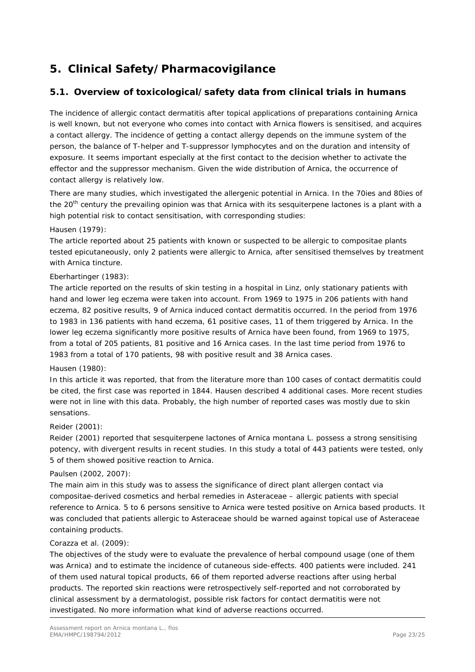# <span id="page-22-0"></span>**5. Clinical Safety/Pharmacovigilance**

# <span id="page-22-1"></span>*5.1. Overview of toxicological/safety data from clinical trials in humans*

The incidence of allergic contact dermatitis after topical applications of preparations containing Arnica is well known, but not everyone who comes into contact with Arnica flowers is sensitised, and acquires a contact allergy. The incidence of getting a contact allergy depends on the immune system of the person, the balance of T-helper and T-suppressor lymphocytes and on the duration and intensity of exposure. It seems important especially at the first contact to the decision whether to activate the effector and the suppressor mechanism. Given the wide distribution of Arnica, the occurrence of contact allergy is relatively low.

There are many studies, which investigated the allergenic potential in Arnica. In the 70ies and 80ies of the 20<sup>th</sup> century the prevailing opinion was that Arnica with its sesquiterpene lactones is a plant with a high potential risk to contact sensitisation, with corresponding studies:

#### Hausen (1979):

The article reported about 25 patients with known or suspected to be allergic to compositae plants tested epicutaneously, only 2 patients were allergic to Arnica, after sensitised themselves by treatment with Arnica tincture.

## Eberhartinger (1983):

The article reported on the results of skin testing in a hospital in Linz, only stationary patients with hand and lower leg eczema were taken into account. From 1969 to 1975 in 206 patients with hand eczema, 82 positive results, 9 of Arnica induced contact dermatitis occurred. In the period from 1976 to 1983 in 136 patients with hand eczema, 61 positive cases, 11 of them triggered by Arnica. In the lower leg eczema significantly more positive results of Arnica have been found, from 1969 to 1975, from a total of 205 patients, 81 positive and 16 Arnica cases. In the last time period from 1976 to 1983 from a total of 170 patients, 98 with positive result and 38 Arnica cases.

#### Hausen (1980):

In this article it was reported, that from the literature more than 100 cases of contact dermatitis could be cited, the first case was reported in 1844. Hausen described 4 additional cases. More recent studies were not in line with this data. Probably, the high number of reported cases was mostly due to skin sensations.

## Reider (2001):

Reider (2001) reported that sesquiterpene lactones of *Arnica montana* L. possess a strong sensitising potency, with divergent results in recent studies. In this study a total of 443 patients were tested, only 5 of them showed positive reaction to Arnica.

## Paulsen (2002, 2007):

The main aim in this study was to assess the significance of direct plant allergen contact via compositae-derived cosmetics and herbal remedies in Asteraceae – allergic patients with special reference to Arnica. 5 to 6 persons sensitive to Arnica were tested positive on Arnica based products. It was concluded that patients allergic to Asteraceae should be warned against topical use of Asteraceae containing products.

#### Corazza *et al*. (2009):

The objectives of the study were to evaluate the prevalence of herbal compound usage (one of them was Arnica) and to estimate the incidence of cutaneous side-effects. 400 patients were included. 241 of them used natural topical products, 66 of them reported adverse reactions after using herbal products. The reported skin reactions were retrospectively self-reported and not corroborated by clinical assessment by a dermatologist, possible risk factors for contact dermatitis were not investigated. No more information what kind of adverse reactions occurred.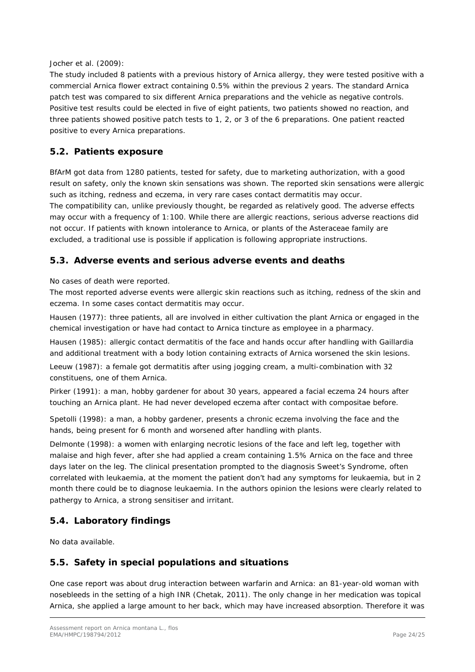### Jocher *et al*. (2009):

The study included 8 patients with a previous history of Arnica allergy, they were tested positive with a commercial Arnica flower extract containing 0.5% within the previous 2 years. The standard Arnica patch test was compared to six different Arnica preparations and the vehicle as negative controls. Positive test results could be elected in five of eight patients, two patients showed no reaction, and three patients showed positive patch tests to 1, 2, or 3 of the 6 preparations. One patient reacted positive to every Arnica preparations.

## <span id="page-23-0"></span>*5.2. Patients exposure*

BfArM got data from 1280 patients, tested for safety, due to marketing authorization, with a good result on safety, only the known skin sensations was shown. The reported skin sensations were allergic such as itching, redness and eczema, in very rare cases contact dermatitis may occur. The compatibility can, unlike previously thought, be regarded as relatively good. The adverse effects may occur with a frequency of 1:100. While there are allergic reactions, serious adverse reactions did not occur. If patients with known intolerance to Arnica, or plants of the Asteraceae family are excluded, a traditional use is possible if application is following appropriate instructions.

## <span id="page-23-1"></span>*5.3. Adverse events and serious adverse events and deaths*

No cases of death were reported.

The most reported adverse events were allergic skin reactions such as itching, redness of the skin and eczema. In some cases contact dermatitis may occur.

Hausen (1977): three patients, all are involved in either cultivation the plant Arnica or engaged in the chemical investigation or have had contact to Arnica tincture as employee in a pharmacy.

Hausen (1985): allergic contact dermatitis of the face and hands occur after handling with Gaillardia and additional treatment with a body lotion containing extracts of Arnica worsened the skin lesions.

Leeuw (1987): a female got dermatitis after using jogging cream, a multi-combination with 32 constituens, one of them Arnica.

Pirker (1991): a man, hobby gardener for about 30 years, appeared a facial eczema 24 hours after touching an Arnica plant. He had never developed eczema after contact with compositae before.

Spetolli (1998): a man, a hobby gardener, presents a chronic eczema involving the face and the hands, being present for 6 month and worsened after handling with plants.

Delmonte (1998): a women with enlarging necrotic lesions of the face and left leg, together with malaise and high fever, after she had applied a cream containing 1.5% Arnica on the face and three days later on the leg. The clinical presentation prompted to the diagnosis Sweet's Syndrome, often correlated with leukaemia, at the moment the patient don't had any symptoms for leukaemia, but in 2 month there could be to diagnose leukaemia. In the authors opinion the lesions were clearly related to pathergy to Arnica, a strong sensitiser and irritant.

# <span id="page-23-2"></span>*5.4. Laboratory findings*

No data available.

## <span id="page-23-3"></span>*5.5. Safety in special populations and situations*

One case report was about drug interaction between warfarin and Arnica: an 81-year-old woman with nosebleeds in the setting of a high INR (Chetak, 2011). The only change in her medication was topical Arnica, she applied a large amount to her back, which may have increased absorption. Therefore it was